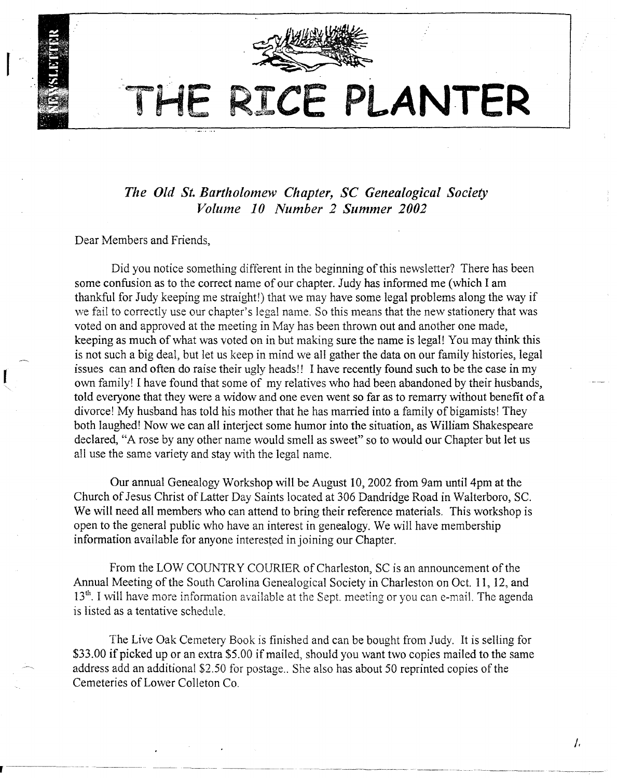

# THE RICE **PLANTER**

*The Old St. Bartholomew Chapter,* SC *Genealogical Society Volume 10 Number* 2 *Summer 2002*

Dear Members and Friends,

Did you notice something different in the beginning of this newsletter? There has been some confusion as to the correct name of our chapter. Judy has informed me (which I am thankful for Judy keeping me straight!) that we may have some legal problems along the way if we fail to correctly use our chapter's legal name. So this means that the new stationery that was voted on and approved at the meeting in May has been thrown out and another one made, keeping as much of what was voted on in but making sure the name is legal! You may think this is not such a big deal, but let us keep in mind we all gather the data on our family histories, legal issues can and often do raise their ugly heads!! I have recently found such to be the case in my own family! I have found that some of my relatives who had been abandoned by their husbands, told everyone that they were a widow and one even went so far as to remarry without benefit of a divorce! My husband has told his mother that he has married into a family of bigamists! They both laughed! Now we can all interject some humor into the situation, as William Shakespeare declared, "A rose by any other name would smell as sweet" so to would our Chapter but let us all use the same variety and stay with the legal name.

Our annual Genealogy Workshop will be August 10,2002 from 9am until4pm at the Church of Jesus Christ of Latter Day Saints located at 306 Dandridge Road in Walterboro, Sc. We will need all members who can attend to bring their reference materials. This workshop is open to the general public who have an interest in genealogy. We will have membership information available for anyone interested in joining our Chapter.

From the LOW COUNTRY COURIER of Charleston, SC is an announcement of the Annual Meeting of the South Carolina Genealogical Society in Charleston on Oct. 11, 12, and 13<sup>th</sup>. I will have more information available at the Sept. meeting or you can e-mail. The agenda is listed as a tentative schedule.

The Live Oak Cemetery Book is finished and can be bought from Judy. It is selling for \$33.00 if picked up or an extra \$5.00 if mailed, should you want two copies mailed to the same address add an additional \$2.50 for postage.. She also has about 50 reprinted copies of the Cemeteries of Lower Colleton Co.

*I,*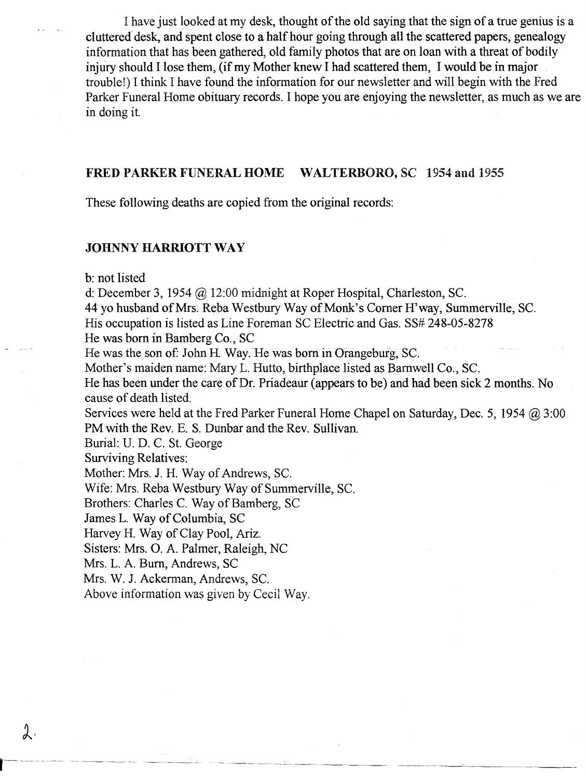I have just looked at my desk, thought of the old saying that the sign of a true genius is a cluttered desk, and spent close to a half hour going through all the scattered papers, genealogy information that has been gathered, old family photos that are on loan with a threat of bodily injury should I lose them, (if my Mother knew I had scattered them, I would be in major trouble!) I think I have found the information for our newsletter and will begin with the Fred Parker Funeral Home obituary records. I hope you are enjoying the newsletter, as much as we are in doing it.

#### FRED PARKER FUNERAL HOME WALTERBORO, SC 1954 and 1955

These following deaths are copied from the original records:

#### JOHNNY **HARRIOTT** WAY

b: not listed

d: December 3, 1954 @ 12:00 midnight at Roper Hospital, Charleston, SC.

44 yo husband of Mrs. Reba Westbury Way of Monk's Comer H'way, Summerville, SC.

His occupation is listed as Line Foreman SC Electric and Gas. SS# 248-05-8278

He was born in Bamberg Co., SC

He was the son of: John H. Way. He was born in Orangeburg, SC.

Mother's maiden name: Mary L. Hutto, birthplace listed as Barnwell Co., Sc.

He has been under the care of Dr. Priadeaur (appears to be) and had been sick 2 months. No cause of death listed.

Services were held at the Fred Parker Funeral Home Chapel on Saturday, Dec. 5, 1954 @ 3:00 PM with the Rev. E. S. Dunbar and the Rev. Sullivan.

--,----- ---~----------

Burial: U. D. C. St. George

Surviving Relatives:

 $\lambda$ .

Mother: Mrs. 1. H. Way of Andrews, Sc.

Wife: Mrs. Reba Westbury Way of Summerville, SC.

Brothers: Charles C. Way of Bamberg, SC

James L. Way of Columbia, SC

Harvey H. Way of Clay Pool, Ariz.

Sisters: Mrs. O. A. Palmer, Raleigh, NC

Mrs. L. A. Bum, Andrews, SC

Mrs. W. J. Ackerman, Andrews, SC.

Above information was given by Cecil Way.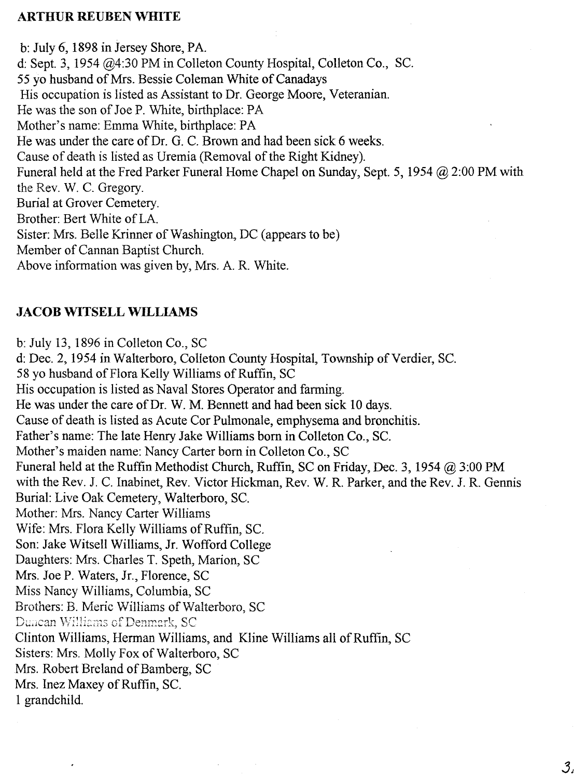#### **ARTHUR REUBEN WHITE**

b: July 6,1898 in Jersey Shore, PA. d: Sept. 3, 1954 @4:30 PM in Colleton County Hospital, Colleton Co., SC. 55 yo husband of Mrs. Bessie Coleman White of Canadays His occupation is listed as Assistant to Dr. George Moore, Veteranian. He was the son of Joe P. White, birthplace: PA Mother's name: Emma White, birthplace: PA He was under the care of Dr. G. C. Brown and had been sick 6 weeks. Cause of death is listed as Uremia (Removal of the Right Kidney). Funeral held at the Fred Parker Funeral Home Chapel on Sunday, Sept. 5, 1954  $\omega$  2:00 PM with the Rev. W. C. Gregory. Burial at Grover Cemetery. Brother: Bert White of LA. Sister: Mrs. Belle Krinner of Washington, DC (appears to be) Member of Cannan Baptist Church. Above information was given by, Mrs. A. R. White.

## **JACOB WITSELL WILLIAMS**

b: July 13, 1896 in Colleton Co., SC d: Dec. 2, 1954 in Walterboro, Colleton County Hospital, Township of Verdier, SC. 58 yo husband of Flora Kelly Williams of Ruffin, SC His occupation is listed as Naval Stores Operator and farming. He was under the care of Dr. W. M. Bennett and had been sick 10 days. Cause of death is listed as Acute Cor Pulmonale, emphysema and bronchitis. Father's name: The late Henry Jake Williams born in Colleton Co., Sc. Mother's maiden name: Nancy Carter born in Colleton Co., SC Funeral held at the Ruffin Methodist Church, Ruffin, SC on Friday, Dec. 3, 1954 @ 3:00 PM with the Rev. 1. C. Inabinet, Rev. Victor Hickman, Rev. W. R. Parker, and the Rev. J. R. Gennis Burial: Live Oak Cemetery, Walterboro, SC. Mother: Mrs. Nancy Carter Williams Wife: Mrs. Flora Kelly Williams of Ruffin, Sc. Son: Jake Witsell Williams, Jr. Wofford College Daughters: Mrs. Charles T. Speth, Marion, SC Mrs. Joe P. Waters, Jr., Florence, SC Miss Nancy Williams, Columbia, SC Brothers: B. Meric Williams of Walterboro, SC Duncan Williams of Denmark, SC Clinton Williams, Herman Williams, and Kline Williams all of Ruffin, SC Sisters: Mrs. Molly Fox of Walterboro, SC Mrs. Robert Breland of Bamberg, SC Mrs. Inez Maxey of Ruffin, SC. I grandchild.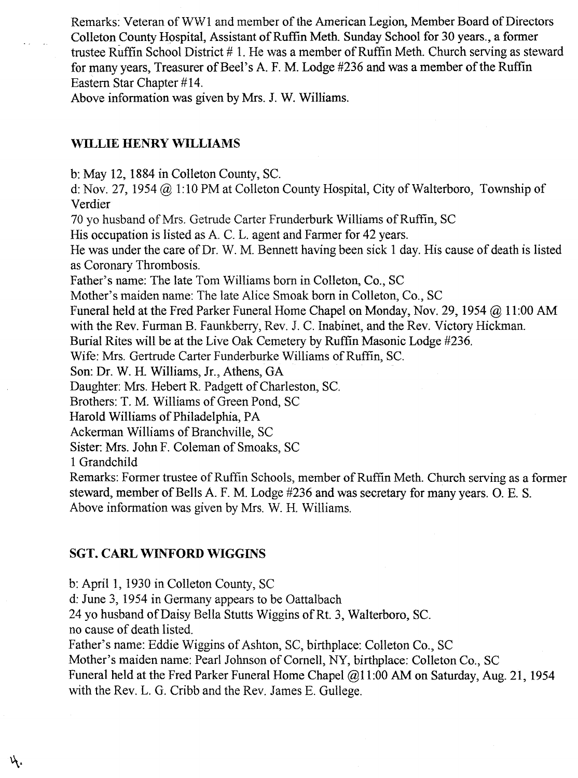Remarks: Veteran of WW1 and member of the American Legion, Member Board of Directors Colleton County Hospital, Assistant of Ruffin Meth. Sunday School for 30 years., a former trustee Ruffin School District # 1. He was a member of Ruffin Meth. Church serving as steward for many years, Treasurer of Beel's A. F. M. Lodge #236 and was a member of the Ruffin Eastern Star Chapter #14.

Above information was given by Mrs. J. W. Williams.

## **waLlE HENRY WILLIAMS**

b: May 12, 1884 in Colleton County, SC.

d: Nov. 27, 1954 @ 1:10 PM at Colleton County Hospital, City of Walterboro, Township of Verdier

70 yo husband of Mrs. Getrude Carter Frunderburk Williams of Ruffin, SC

His occupation is listed as A. C. L. agent and Farmer for 42 years.

He was under the care of Dr. W. M. Bennett having been sick 1 day. His cause of death is listed as Coronary Thrombosis.

Father's name: The late Tom Williams born in Colleton, Co., SC

Mother's maiden name: The late Alice Smoak born in Colleton, Co., SC

Funeral held at the Fred Parker Funeral Home Chapel on Monday, Nov. 29, 1954 @ 11:00 AM

with the Rev. Furman B. Faunkberry, Rev. J. C. Inabinet, and the Rev. Victory Hickman.

Burial Rites will be at the Live Oak Cemetery by Ruffin Masonic Lodge #236.

Wife: Mrs. Gertrude Carter Funderburke Williams of Ruffin, SC.

Son: Dr. W. H. Williams, Jr., Athens, GA

Daughter: Mrs. Hebert R. Padgett of Charleston, SC.

Brothers: T. M. Williams of Green Pond, SC

Harold Williams of Philadelphia, PA

Ackerman Williams of Branchville, SC

Sister: Mrs. John F. Coleman of Smoaks, SC

1 Grandchild

Remarks: Former trustee of Ruffin Schools, member of Ruffin Meth. Church serving as a former steward, member of Bells A. F. M. Lodge #236 and was secretary for many years. O. E. S. Above information was given by Mrs. W. H. Williams.

## **SGT. CARL WINFORD WIGGINS**

b: April 1, 1930 in Colleton County, SC

d: June 3, 1954 in Germany appears to be Oattalbach

24 yo husband of Daisy Bella Stutts Wiggins of Rt. 3, Walterboro, SC.

no cause of death listed.

ή.

Father's name: Eddie Wiggins of Ashton, SC, birthplace: Colleton Co., SC

Mother's maiden name: Pearl Johnson of Cornell, NY, birthplace: Colleton Co., SC

Funeral held at the Fred Parker Funeral Home Chapel @11:00 AM on Saturday, Aug. 21, 1954 with the Rev. L. G. Cribb and the Rev. James E. Gullege.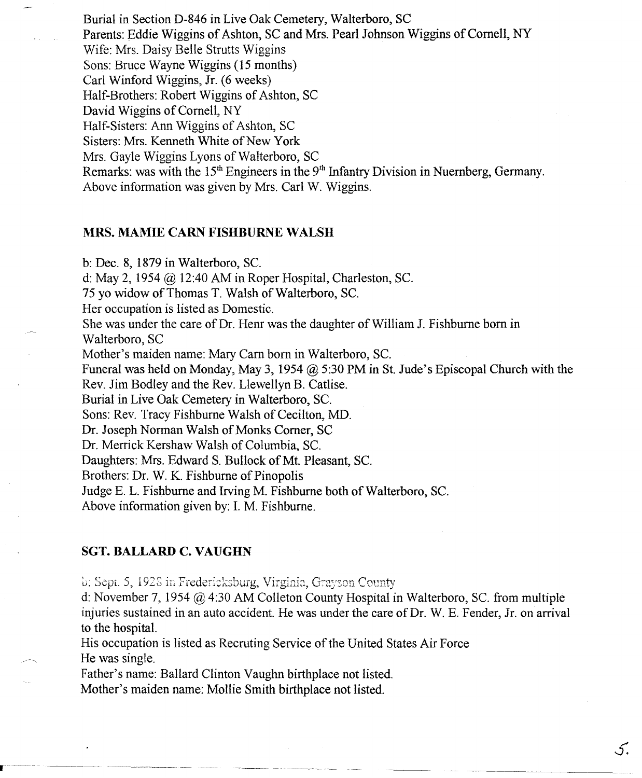Burial in Section D-846 in Live Oak Cemetery, Walterboro, SC Parents: Eddie Wiggins of Ashton, SC and Mrs. Pearl Johnson Wiggins of Cornell, NY Wife: Mrs. Daisy Belle Strutts Wiggins Sons: Bruce Wayne Wiggins (15 months) Carl Winford \Viggins, Jr. (6 weeks) Half-Brothers: Robert Wiggins of Ashton, SC David Wiggins of Cornell, NY Half-Sisters: Ann Wiggins of Ashton, SC Sisters: Mrs. Kenneth White of New York Mrs. Gayle Wiggins Lyons of Walterboro, SC Remarks: was with the  $15<sup>th</sup>$  Engineers in the  $9<sup>th</sup>$  Infantry Division in Nuernberg, Germany. Above information was given by Mrs. Carl W. Wiggins.

## **MRS. MAMIE CARN FISHBURNE WALSH**

b: Dec. 8, 1879 in Walterboro, SC.

d: May 2, 1954 @ 12:40 AM in Roper Hospital, Charleston, SC.

75 yo widow of Thomas T. Walsh of Walterboro, SC.

Her occupation is listed as Domestic.

She was under the care of Dr. Hem was the daughter of William J. Fishburne born in Walterboro, SC

Mother's maiden name: Mary Carn born in Walterboro, SC.

Funeral was held on Monday, May 3, 1954 @ 5:30 PM in St. Jude's Episcopal Church with the Rev. Jim Bodley and the Rev. Llewellyn B. Catlise.

Burial in Live Oak Cemetery in Walterboro, SC.

Sons: Rev. Tracy Fishburne Walsh of Cecilton, MD.

Dr. Joseph Norman Walsh of Monks Corner, SC

Dr. Merrick Kershaw Walsh of Columbia, SC.

Daughters: Mrs. Edward S. Bullock of Mt. Pleasant, SC.

Brothers: Dr. W. K. Fishburne of Pinopolis

Judge E. L. Fishburne and Irving M. Fishburne both of Walterboro, SC.

Above information given by: 1. M. Fishburne.

### **SGT. BALLARD C. VAUGHN**

b: Sept. 5, 1928 in Fredericksburg, Virginia, Grayson County

d: November 7, 1954 @ 4:30 AM Colleton County Hospital in Walterboro, SC. from multiple injuries sustained in an auto accident. He was under the care of Dr. W. E. Fender, Jr. on arrival to the hospital.

5.

His occupation is listed as Recruting Service of the United States Air Force He was single.

Father's name: Ballard Clinton Vaughn birthplace not listed.

Mother's maiden name: Mollie Smith birthplace not listed.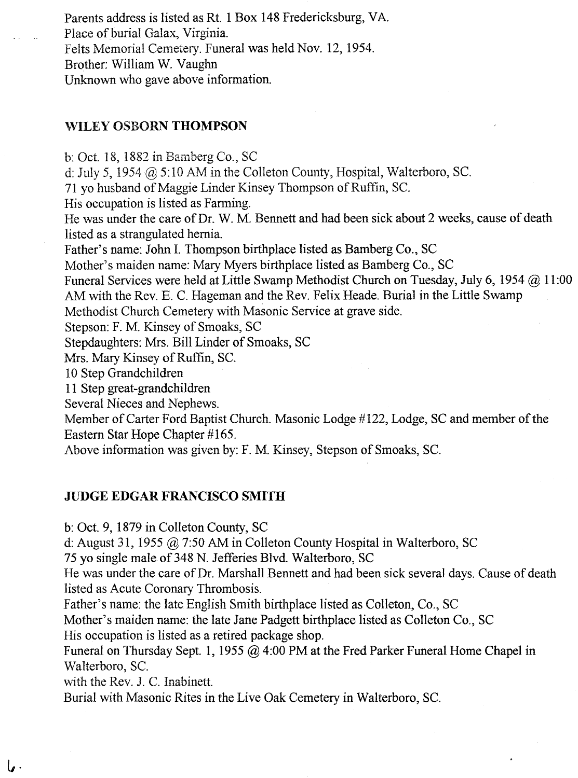Parents address is listed as Rt. 1 Box 148 Fredericksburg, VA. Place of burial Galax, Virginia. Felts Memorial Cemetery. Funeral was held Nov. 12, 1954. Brother: William W. Vaughn Unknown who gave above information.

## WILEY OSBORN **THOMPSON**

b: Oct. 18, 1882 in Bamberg Co., SC d: July 5, 1954 @ 5:10 AM in the Colleton County, Hospital, Walterboro, Sc. 71 yo husband of Maggie Linder Kinsey Thompson of Ruffin, SC. His occupation is listed as Farming. He was under the care of Dr. W. M. Bennett and had been sick about 2 weeks, cause of death listed as a strangulated hernia. Father's name: John I. Thompson birthplace listed as Bamberg Co., SC Mother's maiden name: Mary Myers birthplace listed as Bamberg Co., SC Funeral Services were held at Little Swamp Methodist Church on Tuesday, July 6, 1954 @ 11:00 AM with the Rev. E. C. Hageman and the Rev. Felix Heade. Burial in the Little Swamp Methodist Church Cemetery with Masonic Service at grave side. Stepson: F. M. Kinsey of Smoaks, SC Stepdaughters: Mrs. Bill Linder of Smoaks, SC Mrs. Mary Kinsey of Ruffin, Sc. 10 Step Grandchildren 11 Step great-grandchildren Several Nieces and Nephews. Member of Carter Ford Baptist Church. Masonic Lodge #122, Lodge, SC and member of the Eastern Star Hope Chapter #165.

Above information was given by: F. M. Kinsey, Stepson of Smoaks, Sc.

## **JUDGE EDGAR FRANCISCO SMITH**

b: Oct. 9, 1879 in Colleton County, SC

d: August 31, 1955 @ 7:50 AM in Colleton County Hospital in Walterboro, SC

75 yo single male of 348 N. Jefferies Blvd. Walterboro, SC

He was under the care of Dr. Marshall Bennett and had been sick several days. Cause of death listed as Acute Coronary Thrombosis.

Father's name: the late English Smith birthplace listed as Colleton, Co., SC

Mother's maiden name: the late Jane Padgett birthplace listed as Colleton Co., SC His occupation is listed as a retired package shop.

Funeral on Thursday Sept. **1,** 1955 @ 4:00 PM at the Fred Parker Funeral Home Chapel in Walterboro, Sc.

with the Rev. 1. C. Inabinett.

*t,.*

Burial with Masonic Rites in the Live Oak Cemetery in Walterboro, SC.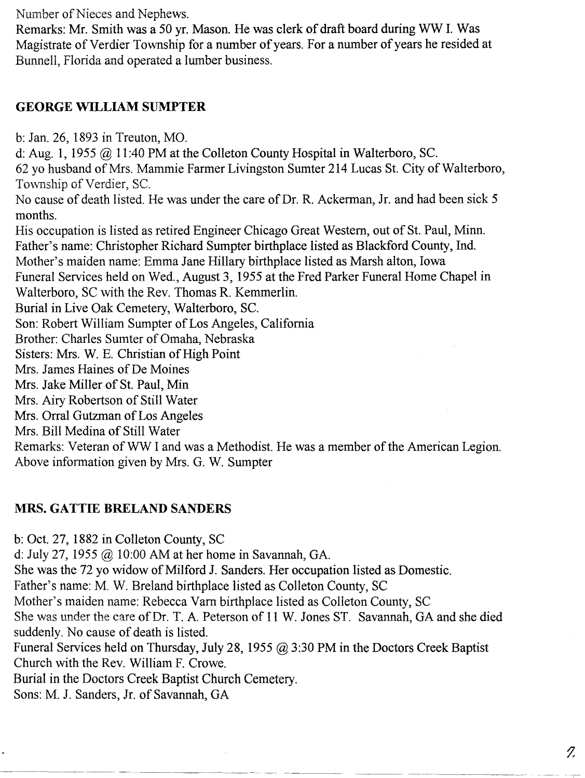Number of Nieces and Nephews.

Remarks: Mr. Smith was a 50 yr. Mason. He was clerk of draft board during WW I. Was Magistrate of Verdier Township for a number of years. For a number of years he resided at Bunnell, Florida and operated a lumber business.

## **GEORGE WILLIAM SUMPTER**

b: Jan. 26, 1893 in Treuton, MO.

d: Aug. 1, 1955 @ 11:40 PM at the Colleton County Hospital in Walterboro, SC.

62 yo husband of MIs. Mammie Farmer Livingston Sumter 214 Lucas St. City of Walterboro, Township of Verdier, SC.

No cause of death listed. He was under the care of Dr. R. Ackerman, Jr. and had been sick 5 months.

His occupation is listed as retired Engineer Chicago Great Western, out of St. Paul, Minn. Father's name: Christopher Richard Sumpter birthplace listed as Blackford County, Ind. Mother's maiden name: Emma Jane Hillary birthplace listed as Marsh alton, Iowa Funeral Services held on Wed., August 3, 1955 at the Fred Parker Funeral Horne Chapel in Walterboro, SC with the Rev. Thomas R. Kemmerlin. Burial in Live Oak Cemetery, Walterboro, sc. Son: Robert William Sumpter of Los Angeles, California Brother: Charles Sumter of Omaha, Nebraska Sisters: Mrs. W. E. Christian of High Point Mrs. James Haines of De Moines Mrs. Jake Miller of St. Paul, Min Mrs. Airy Robertson of Still Water Mrs. Orral Gutzman of Los Angeles Mrs. Bill Medina of Still Water Remarks: Veteran of WW I and was a Methodist. He was a member of the American Legion. Above information given by Mrs. G. W. Sumpter

## **MRS. GATTIE BRELAND SANDERS**

b: Oct. 27, 1882 in Colleton County, SC

d: July 27, 1955 @ 10:00 AM at her horne in Savannah, GA.

She was the 72 yo widow of Milford J. Sanders. Her occupation listed as Domestic.

Father's name: M. W. Breland birthplace listed as Colleton County, SC

Mother's maiden name: Rebecca Varn birthplace listed as Colleton County, SC

She was under the care of Dr. T. A. Peterson of 11 W. Jones ST. Savannah, GA and she died suddenly. No cause of death is listed.

Funeral Services held on Thursday, July 28, 1955 @ 3:30 PM in the Doctors Creek Baptist Church with the Rev. William F. Crowe.

Burial in the Doctors Creek Baptist Church Cemetery.

Sons: M. J. Sanders, Jr. of Savannah, GA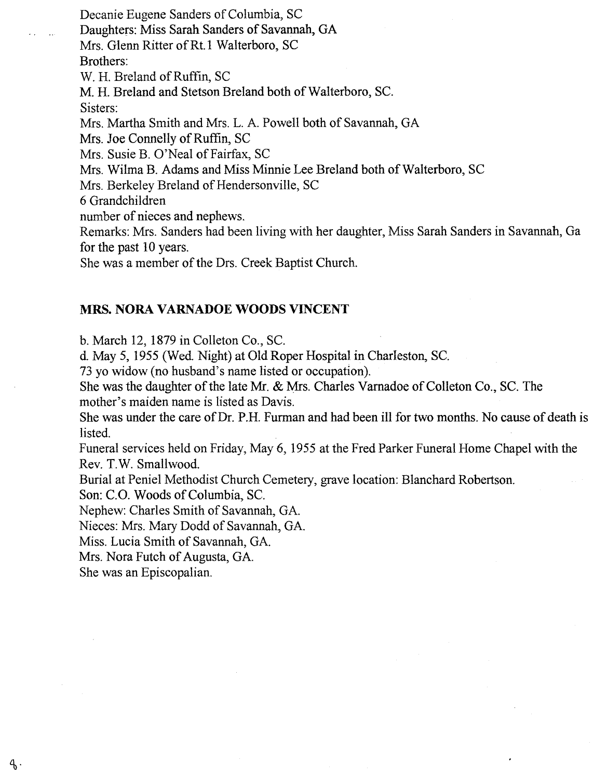Decanie Eugene Sanders of Columbia, SC Daughters: Miss Sarah Sanders of Savannah, GA Mrs. Glenn Ritter of Rt.1 Walterboro, SC Brothers: W. H. Breland of Ruffin, SC M. H. Breland and Stetson Breland both of Walterboro, Sc. Sisters: Mrs. Martha Smith and Mrs. L. A. Powell both of Savannah, GA Mrs. Joe Connelly of Ruffin, SC Mrs. Susie B. O'Neal of Fairfax, SC Mrs. Wilma B. Adams and Miss Minnie Lee Breland both of Walterboro, SC Mrs. Berkeley Breland of Hendersonville, SC 6 Grandchildren number of nieces and nephews. Remarks: Mrs. Sanders had been living with her daughter, Miss Sarah Sanders in Savannah, Ga for the past 10 years.

She was a member of the Drs. Creek Baptist Church.

## **MRS. NORA VARNADOE WOODS VINCENT**

b. March 12, 1879 in Colleton Co., SC.

d. May 5, 1955 (Wed. Night) at Old Roper Hospital in Charleston, SC.

73 yo widow (no husband's name listed or occupation).

She was the daughter of the late Mr. & Mrs. Charles Varnadoe of Colleton Co., SC. The mother's maiden name is listed as Davis.

She was under the care of Dr. P.R. Furman and had been ill for two months. No cause of death is listed.

Funeral services held on Friday, May 6, 1955 at the Fred Parker Funeral Home Chapel with the Rev. T.W. Smallwood.

Burial at Peniel Methodist Church Cemetery, grave location: Blanchard Robertson.

Son: C.O. Woods of Columbia, Sc.

Nephew: Charles Smith of Savannah, GA.

Nieces: Mrs. Mary Dodd of Savannah, GA.

Miss. Lucia Smith of Savannah, GA.

Mrs. Nora Futch of Augusta, GA.

She was an Episcopalian.

 $4.$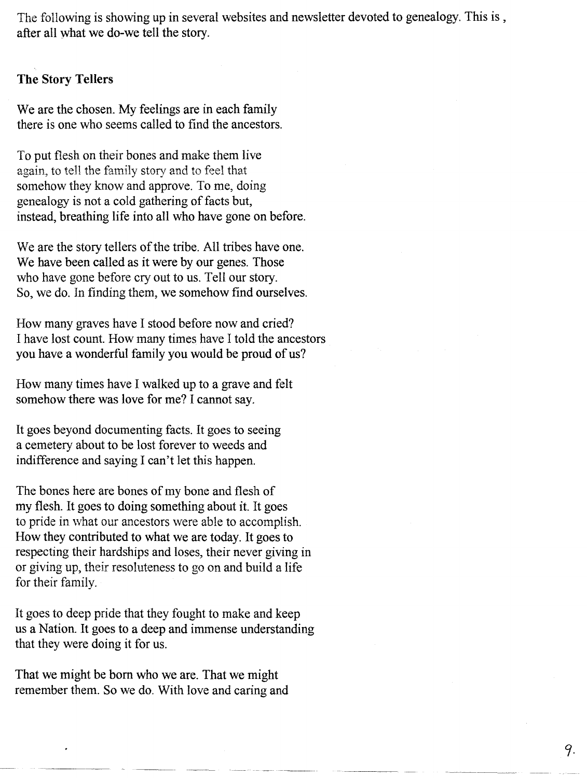The following is showing up in several websites and newsletter devoted to genealogy. This is, after all what we do-we tell the story.

#### **The** Story Tellers

We are the chosen. My feelings are in each family there is one who seems called to find the ancestors.

To put flesh on their bones and make them live again, to tell the family story and to feel that somehow they know and approve. To me, doing genealogy is not a cold gathering of facts but, instead, breathing life into all who have gone on before.

We are the story tellers of the tribe. All tribes have one. We have been called as it were by our genes. Those who have gone before cry out to us. Tell our story. So, we do. In finding them, we somehow find ourselves.

How many graves have I stood before now and cried? I have lost count. How many times have I told the ancestors you have a wonderful family you would be proud of us?

How many times have I walked up to a grave and felt somehow there was love for me? I cannot say.

It goes beyond documenting facts. It goes to seeing a cemetery about to be lost forever to weeds and indifference and saying I can't let this happen.

The bones here are bones of my bone and flesh of my flesh. It goes to doing something about it. It goes to pride in what our ancestors were able to accomplish. How they contributed to what we are today. It goes to respecting their hardships and loses, their never giving in or giving up, their resoluteness to go on and build a life for their family.

It goes to deep pride that they fought to make and keep us a Nation. It goes to a deep and immense understanding that they were doing it for us.

That we might be born who we are. That we might remember them. So we do. With love and caring and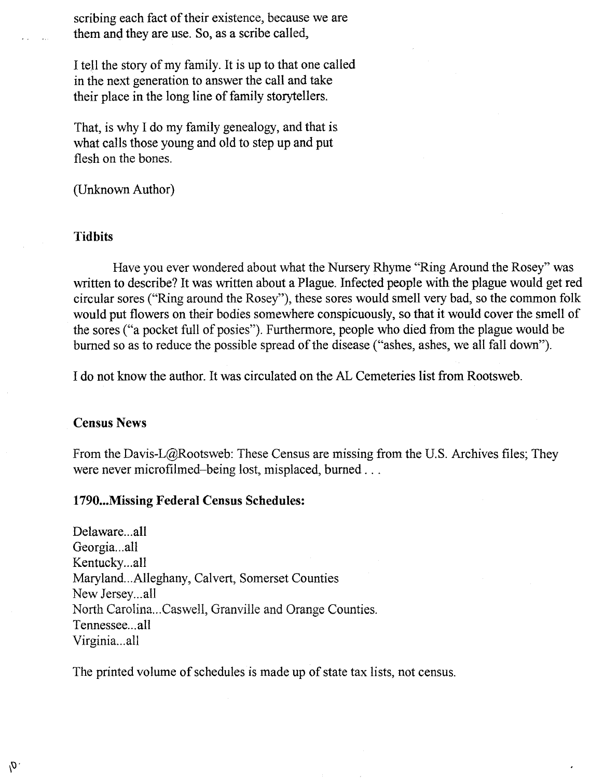scribing each fact of their existence, because we are them and they are use. So, as a scribe called,

I tell the story of my family. It is up to that one called in the next generation to answer the call and take their place in the long line of family storytellers.

That, is why I do my family genealogy, and that is what calls those young and old to step up and put flesh on the bones.

(Unknown Author)

#### **Tidbits**

Have you ever wondered about what the Nursery Rhyme '"Ring Around the Rosey" was written to describe? It was written about a Plague. Infected people with the plague would get red circular sores ('"Ring around the Rosey"), these sores would smell very bad, so the common folk would put flowers on their bodies somewhere conspicuously, so that it would cover the smell of the sores ('"a pocket full of posies"). Furthermore, people who died from the plague would be burned so as to reduce the possible spread of the disease ('"ashes, ashes, we all fall down").

I do not know the author. It was circulated on the AL Cemeteries list from Rootsweb.

#### Census News

 $\theta'$ .

From the Davis-L@Rootsweb: These Census are missing from the U.S. Archives files; They were never microfilmed-being lost, misplaced, burned ...

## 1790...Missing Federal Census Schedules:

Delaware...all Georgia ...all Kentucky...all Maryland...Alleghany, Calvert, Somerset Counties New Jersey...all North Carolina ...Caswell, Granville and Orange Counties. Tennessee...all Virginia...all

The printed volume of schedules is made up of state tax lists, not census.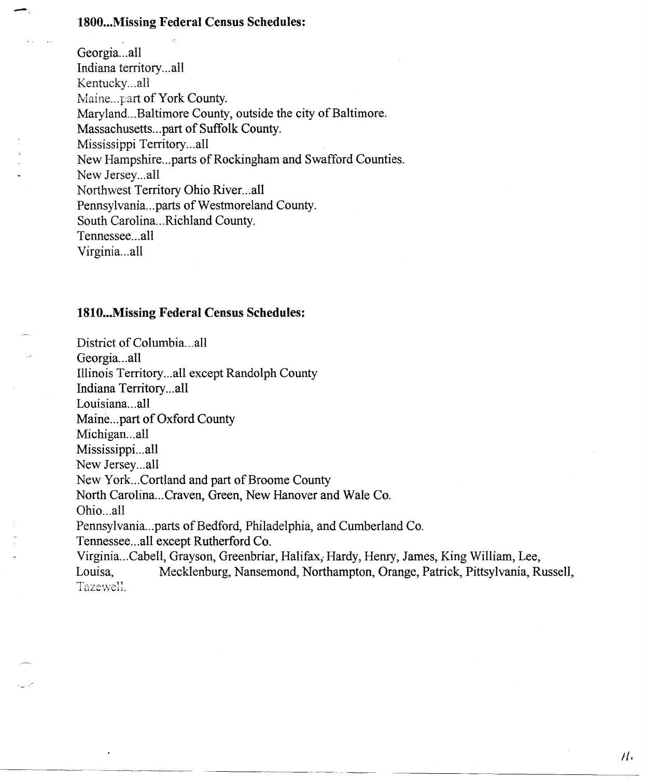#### **1800 ...Missing Federal Census Schedules:**

\_.

Georgia...all Indiana territory...all Kentucky ...all Maine...part of York County. Maryland...Baltimore County, outside the city of Baltimore. Massachusetts ...part of Suffolk County. Mississippi Territory...all New Hampshire ...parts of Rockingham and Swafford Counties. New Jersey...all Northwest Territory Ohio River...all Pennsylvania ...parts of Westmoreland County. South Carolina ...Richland County. Tennessee ...all Virginia ...all

#### **1810 ...Missing Federal Census Schedules:**

District of Columbia...all Georgia...all Illinois Territory...all except Randolph County Indiana Territory...all Louisiana...all Maine...part of Oxford County Michigan...all Mississippi...all New Jersey...all New York. ..Cortland and part of Broome County North Carolina...Craven, Green, New Hanover and Wale Co. Ohio...all Pennsylvania ...parts of Bedford, Philadelphia, and Cumberland Co. Tennessee ...all except Rutherford Co. Virginia ...Cabell, Grayson, Greenbriar, Halifax, Hardy, Henry, James, King William, Lee, Mecklenburg, Nansemond, Northampton, Orange, Patrick, Pittsylvania, Russell, Tazewell.

*il.*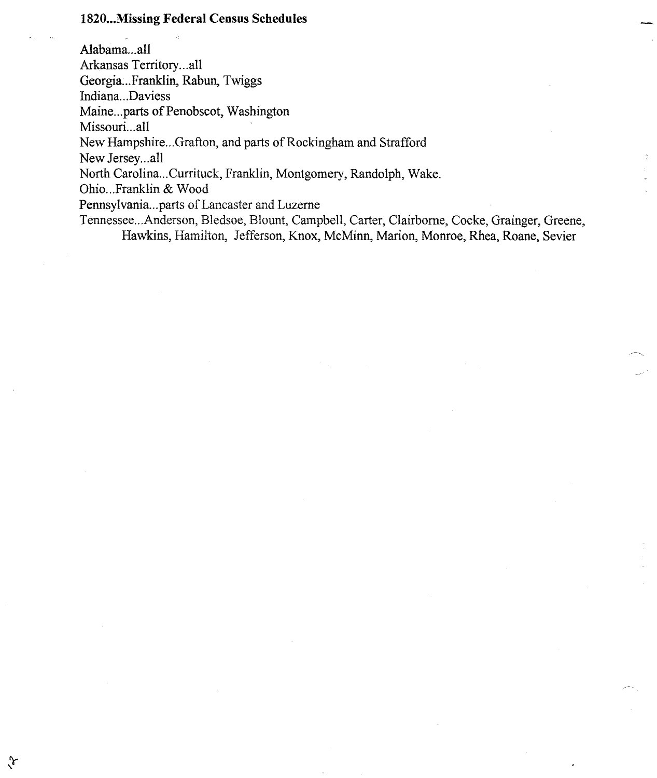## 1820...Missing Federal Census Schedules

 $\sqrt[3]{\ }$ 

Alabama...all Arkansas Territory...all Georgia...Franklin, Rabun, Twiggs Indiana...Daviess Maine...parts of Penobscot, Washington Missouri...all New Hampshire ...Grafton, and parts of Rockingham and Strafford New Jersey...all North CaroIina ...Currituck, Franklin, Montgomery, Randolph, Wake. Ohio ...Franklin & Wood Pennsylvania ...parts of Lancaster and Luzerne Tennessee ...Anderson, Bledsoe, Blount, Campbell, Carter, Clairborne, Cocke, Grainger, Greene, Hawkins, Hamilton, Jefferson, Knox, McMinn, Marion, Monroe, Rhea, Roane, Sevier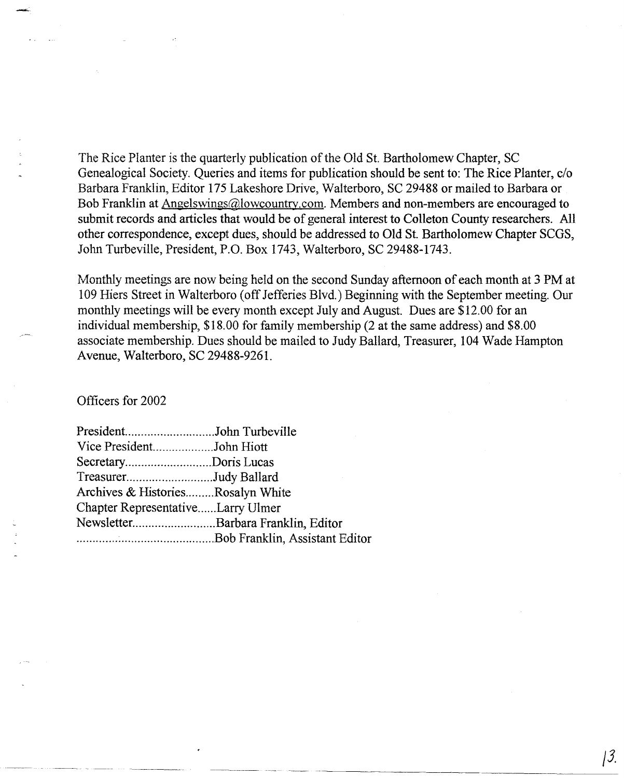The Rice Planter is the quarterly publication of the Old St. Bartholomew Chapter, SC Genealogical Society. Queries and items for publication should be sent to: The Rice Planter, c/o Barbara Franklin, Editor 175 Lakeshore Drive, Walterboro, SC 29488 or mailed to Barbara or Bob Franklin at Angelswings@lowcountry.com. Members and non-members are encouraged to submit records and articles that would be of general interest to Colleton County researchers. All other correspondence, except dues, should be addressed to Old St. Bartholomew Chapter SCGS, John Turbeville, President, P.O. Box 1743, Walterboro, SC 29488-1743.

Monthly meetings are now being held on the second Sunday afternoon of each month at 3 PM at 109 Hiers Street in Walterboro (off Jefferies Blvd.) Beginning with the September meeting. Our monthly meetings will be every month except July and August. Dues are \$12.00 for an individual membership, \$18.00 for family membership (2 at the same address) and \$8.00 associate membership. Dues should be mailed to Judy Ballard, Treasurer, 104 Wade Hampton Avenue, Walterboro, SC 29488-9261.

Officers for 2002

| PresidentJohn Turbeville          |                                    |
|-----------------------------------|------------------------------------|
| Vice PresidentJohn Hiott          |                                    |
| SecretaryDoris Lucas              |                                    |
| TreasurerJudy Ballard             |                                    |
| Archives & HistoriesRosalyn White |                                    |
| Chapter RepresentativeLarry Ulmer |                                    |
|                                   | NewsletterBarbara Franklin, Editor |
|                                   |                                    |